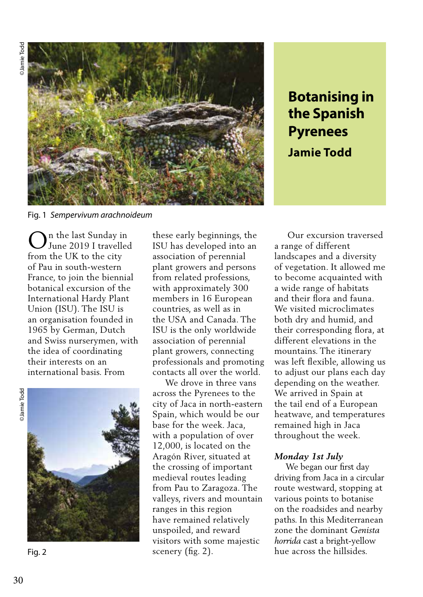

**Botanising in the Spanish Pyrenees Jamie Todd**

Fig. 1 *Sempervivum arachnoideum* 

n the last Sunday in June 2019 I travelled from the UK to the city of Pau in south-western France, to join the biennial botanical excursion of the International Hardy Plant Union (ISU). The ISU is an organisation founded in 1965 by German, Dutch and Swiss nurserymen, with the idea of coordinating their interests on an international basis. From O

**OJamie** Todd ©Jamie Todd



Fig. 2

these early beginnings, the ISU has developed into an association of perennial plant growers and persons from related professions, with approximately 300 members in 16 European countries, as well as in the USA and Canada. The ISU is the only worldwide association of perennial plant growers, connecting professionals and promoting contacts all over the world.

 We drove in three vans across the Pyrenees to the city of Jaca in north-eastern Spain, which would be our base for the week. Jaca, with a population of over 12,000, is located on the Aragón River, situated at the crossing of important medieval routes leading from Pau to Zaragoza. The valleys, rivers and mountain ranges in this region have remained relatively unspoiled, and reward visitors with some majestic scenery (fig. 2).

 Our excursion traversed a range of different landscapes and a diversity of vegetation. It allowed me to become acquainted with a wide range of habitats and their flora and fauna. We visited microclimates both dry and humid, and their corresponding flora, at different elevations in the mountains. The itinerary was left flexible, allowing us to adjust our plans each day depending on the weather. We arrived in Spain at the tail end of a European heatwave, and temperatures remained high in Jaca throughout the week.

### *Monday 1st July*

 We began our first day driving from Jaca in a circular route westward, stopping at various points to botanise on the roadsides and nearby paths. In this Mediterranean zone the dominant *Genista horrida* cast a bright-yellow hue across the hillsides.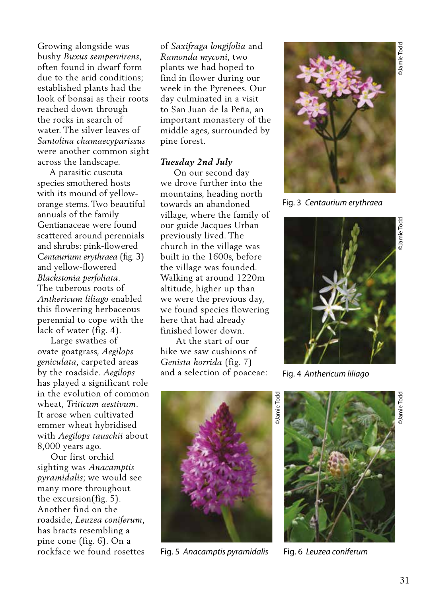Growing alongside was bushy *Buxus sempervirens*, often found in dwarf form due to the arid conditions; established plants had the look of bonsai as their roots reached down through the rocks in search of water. The silver leaves of *Santolina chamaecyparissus*  were another common sight across the landscape.

 A parasitic cuscuta species smothered hosts with its mound of yelloworange stems. Two beautiful annuals of the family Gentianaceae were found scattered around perennials and shrubs: pink-flowered *Centaurium erythraea* (fig. 3) and yellow-flowered *Blackstonia perfoliata*. The tuberous roots of *Anthericum liliago* enabled this flowering herbaceous perennial to cope with the lack of water (fig. 4).

 Large swathes of ovate goatgrass, *Aegilops geniculata*, carpeted areas by the roadside. *Aegilops*  has played a significant role in the evolution of common wheat, *Triticum aestivum*. It arose when cultivated emmer wheat hybridised with *Aegilops tauschii* about 8,000 years ago.

 Our first orchid sighting was *Anacamptis pyramidalis*; we would see many more throughout the excursion(fig. 5). Another find on the roadside, *Leuzea coniferum*, has bracts resembling a pine cone (fig. 6). On a rockface we found rosettes

of *Saxifraga longifolia* and *Ramonda myconi*, two plants we had hoped to find in flower during our week in the Pyrenees. Our day culminated in a visit to San Juan de la Peña, an important monastery of the middle ages, surrounded by pine forest.

### *Tuesday 2nd July*

 On our second day we drove further into the mountains, heading north towards an abandoned village, where the family of our guide Jacques Urban previously lived. The church in the village was built in the 1600s, before the village was founded. Walking at around 1220m altitude, higher up than we were the previous day, we found species flowering here that had already finished lower down.

 At the start of our hike we saw cushions of *Genista horrida* (fig. 7) and a selection of poaceae:



Fig. 3 *Centaurium erythraea*



Fig. 4 *Anthericum liliago*



Fig. 5 *Anacamptis pyramidalis* Fig. 6 *Leuzea coniferum*

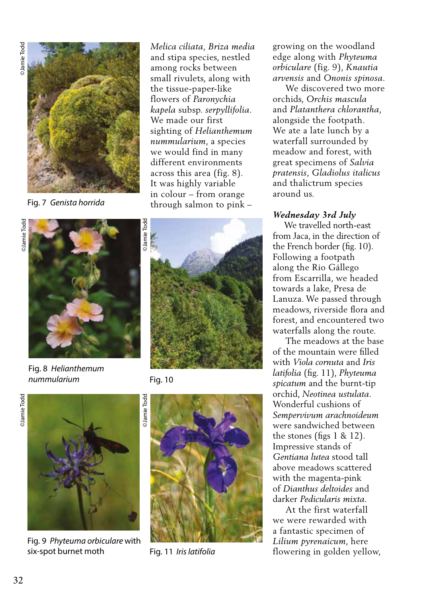

Fig. 7 *Genista horrida*

*Melica ciliata, Briza media* and stipa species, nestled among rocks between small rivulets, along with the tissue-paper-like flowers of *Paronychia kapela* subsp. *serpyllifolia*. We made our first sighting of *Helianthemum nummularium*, a species we would find in many different environments across this area (fig. 8). It was highly variable in colour – from orange through salmon to pink –





Fig. 8 *Helianthemum nummularium*



Fig. 9 *Phyteuma orbiculare* with six-spot burnet moth Fig. 11 *Iris latifolia*



Fig. 10



growing on the woodland edge along with *Phyteuma orbiculare* (fig. 9), *Knautia arvensis* and *Ononis spinosa*.

 We discovered two more orchids, *Orchis mascula*  and *Platanthera chlorantha*, alongside the footpath. We ate a late lunch by a waterfall surrounded by meadow and forest, with great specimens of *Salvia pratensis*, *Gladiolus italicus*  and thalictrum species around us.

# *Wednesday 3rd July*

 We travelled north-east from Jaca, in the direction of the French border (fig. 10). Following a footpath along the Rio Gállego from Escarrilla, we headed towards a lake, Presa de Lanuza. We passed through meadows, riverside flora and forest, and encountered two waterfalls along the route.

 The meadows at the base of the mountain were filled with *Viola cornuta* and *Iris latifolia* (fig. 11), *Phyteuma spicatum* and the burnt-tip orchid, *Neotinea ustulata*. Wonderful cushions of *Sempervivum arachnoideum* were sandwiched between the stones (figs 1 & 12). Impressive stands of *Gentiana lutea* stood tall above meadows scattered with the magenta-pink of *Dianthus deltoides* and darker *Pedicularis mixta*.

 At the first waterfall we were rewarded with a fantastic specimen of *Lilium pyrenaicum*, here flowering in golden yellow,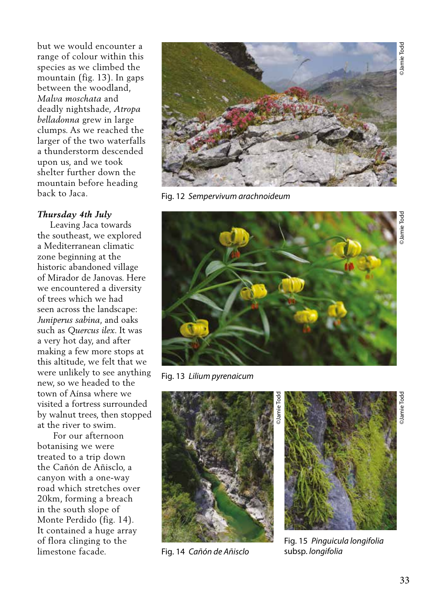but we would encounter a range of colour within this species as we climbed the mountain (fig. 13). In gaps between the woodland, *Malva moschata* and deadly nightshade, *Atropa belladonna* grew in large clumps. As we reached the larger of the two waterfalls a thunderstorm descended upon us, and we took shelter further down the mountain before heading back to Jaca.

### *Thursday 4th July*

 Leaving Jaca towards the southeast, we explored a Mediterranean climatic zone beginning at the historic abandoned village of Mirador de Janovas. Here we encountered a diversity of trees which we had seen across the landscape: *Juniperus sabina*, and oaks such as *Quercus ilex*. It was a very hot day, and after making a few more stops at this altitude, we felt that we were unlikely to see anything new, so we headed to the town of Aínsa where we visited a fortress surrounded by walnut trees, then stopped at the river to swim.

 For our afternoon botanising we were treated to a trip down the Cañón de Añisclo, a canyon with a one-way road which stretches over 20km, forming a breach in the south slope of Monte Perdido (fig. 14). It contained a huge array of flora clinging to the limestone facade.



Fig. 12 *Sempervivum arachnoideum* 



Fig. 13 *Lilium pyrenaicum*



Fig. 14 *Cañón de Añisclo*



Fig. 15 *Pinguicula longifolia*  subsp. *longifolia*

©Jamie Todd

**DJamie** Todo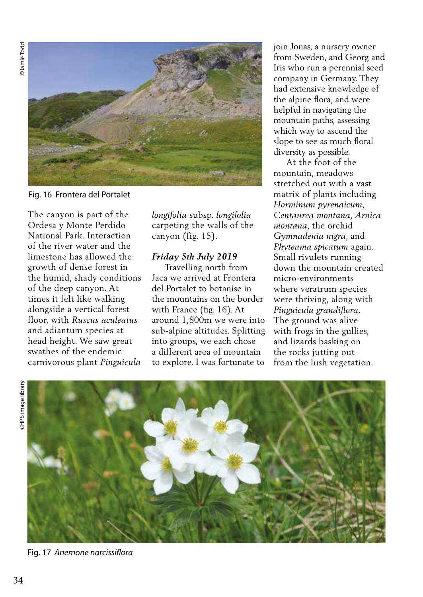**OJamie** Todd ©Jamie Todd



Fig. 16 Frontera del Portalet

The canyon is part of the Ordesa y Monte Perdido National Park. Interaction of the river water and the limestone has allowed the growth of dense forest in the humid, shady conditions of the deep canyon. At times it felt like walking alongside a vertical forest floor, with *Ruscus aculeatus* and adiantum species at head height. We saw great swathes of the endemic carnivorous plant *Pinguicula* 

*longifolia* subsp. *longifolia* carpeting the walls of the canyon (fig. 15).

# *Friday 5th July 2019*

 Travelling north from Jaca we arrived at Frontera del Portalet to botanise in the mountains on the border with France (fig. 16). At around 1,800m we were into sub-alpine altitudes. Splitting into groups, we each chose a different area of mountain to explore. I was fortunate to join Jonas, a nursery owner from Sweden, and Georg and Iris who run a perennial seed company in Germany. They had extensive knowledge of the alpine flora, and were helpful in navigating the mountain paths, assessing which way to ascend the slope to see as much floral diversity as possible.

 At the foot of the mountain, meadows stretched out with a vast matrix of plants including *Horminum pyrenaicum, Centaurea montana, Arnica montana*, the orchid *Gymnadenia nigra*, and *Phyteuma spicatum* again. Small rivulets running down the mountain created micro-environments where veratrum species were thriving, along with *Pinguicula grandiflora*. The ground was alive with frogs in the gullies, and lizards basking on the rocks jutting out from the lush vegetation.



Fig. 17 *Anemone narcissiflora*